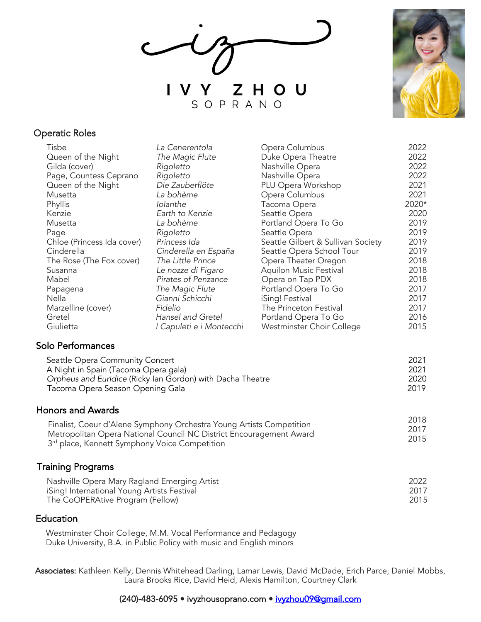$\overline{\smash{\bigtriangledown}}$ Y ZHOU SOPRANO



## Operatic Roles

| Tisbe                                                                                                            | La Cenerentola           | Opera Columbus                     | 2022  |
|------------------------------------------------------------------------------------------------------------------|--------------------------|------------------------------------|-------|
| Queen of the Night                                                                                               | The Magic Flute          | Duke Opera Theatre                 | 2022  |
| Gilda (cover)                                                                                                    | Rigoletto                | Nashville Opera                    | 2022  |
| Page, Countess Ceprano                                                                                           | Rigoletto                | Nashville Opera                    | 2022  |
| Queen of the Night                                                                                               | Die Zauberflöte          | PLU Opera Workshop                 | 2021  |
| Musetta                                                                                                          | La bohème                | Opera Columbus                     | 2021  |
| Phyllis                                                                                                          | Iolanthe                 | Tacoma Opera                       | 2020* |
| Kenzie                                                                                                           | Earth to Kenzie          | Seattle Opera                      | 2020  |
| Musetta                                                                                                          | La bohème                | Portland Opera To Go               | 2019  |
| Page                                                                                                             | Rigoletto                | Seattle Opera                      | 2019  |
| Chloe (Princess Ida cover)                                                                                       | Princess Ida             | Seattle Gilbert & Sullivan Society | 2019  |
| Cinderella                                                                                                       | Cinderella en España     | Seattle Opera School Tour          | 2019  |
| The Rose (The Fox cover)                                                                                         | The Little Prince        | Opera Theater Oregon               | 2018  |
| Susanna                                                                                                          | Le nozze di Figaro       | Aquilon Music Festival             | 2018  |
| Mabel                                                                                                            | Pirates of Penzance      | Opera on Tap PDX                   | 2018  |
| Papagena                                                                                                         | The Magic Flute          | Portland Opera To Go               | 2017  |
| Nella                                                                                                            | Gianni Schicchi          | iSing! Festival                    | 2017  |
| Marzelline (cover)                                                                                               | Fidelio                  | The Princeton Festival             | 2017  |
| Gretel                                                                                                           | Hansel and Gretel        | Portland Opera To Go               | 2016  |
| Giulietta                                                                                                        | I Capuleti e i Montecchi | Westminster Choir College          | 2015  |
| Solo Performances                                                                                                |                          |                                    |       |
| Seattle Opera Community Concert                                                                                  |                          |                                    | 2021  |
| A Night in Spain (Tacoma Opera gala)                                                                             |                          |                                    | 2021  |
| Orpheus and Euridice (Ricky Ian Gordon) with Dacha Theatre                                                       |                          |                                    | 2020  |
| Tacoma Opera Season Opening Gala                                                                                 |                          |                                    | 2019  |
| <b>Honors and Awards</b>                                                                                         |                          |                                    |       |
|                                                                                                                  |                          |                                    | 2018  |
| Finalist, Coeur d'Alene Symphony Orchestra Young Artists Competition                                             |                          |                                    | 2017  |
| Metropolitan Opera National Council NC District Encouragement Award<br>$\sim$ $\sim$ $\sim$ $\sim$ $\sim$ $\sim$ |                          |                                    | 2015  |

## Training Programs

| Nashville Opera Mary Ragland Emerging Artist | 2022 |
|----------------------------------------------|------|
| iSing! International Young Artists Festival  | 2017 |
| The CoOPERAtive Program (Fellow)             | 2015 |

## **Education**

Westminster Choir College, M.M. Vocal Performance and Pedagogy Duke University, B.A. in Public Policy with music and English minors

3<sup>rd</sup> place, Kennett Symphony Voice Competition

Associates: Kathleen Kelly, Dennis Whitehead Darling, Lamar Lewis, David McDade, Erich Parce, Daniel Mobbs, Laura Brooks Rice, David Heid, Alexis Hamilton, Courtney Clark